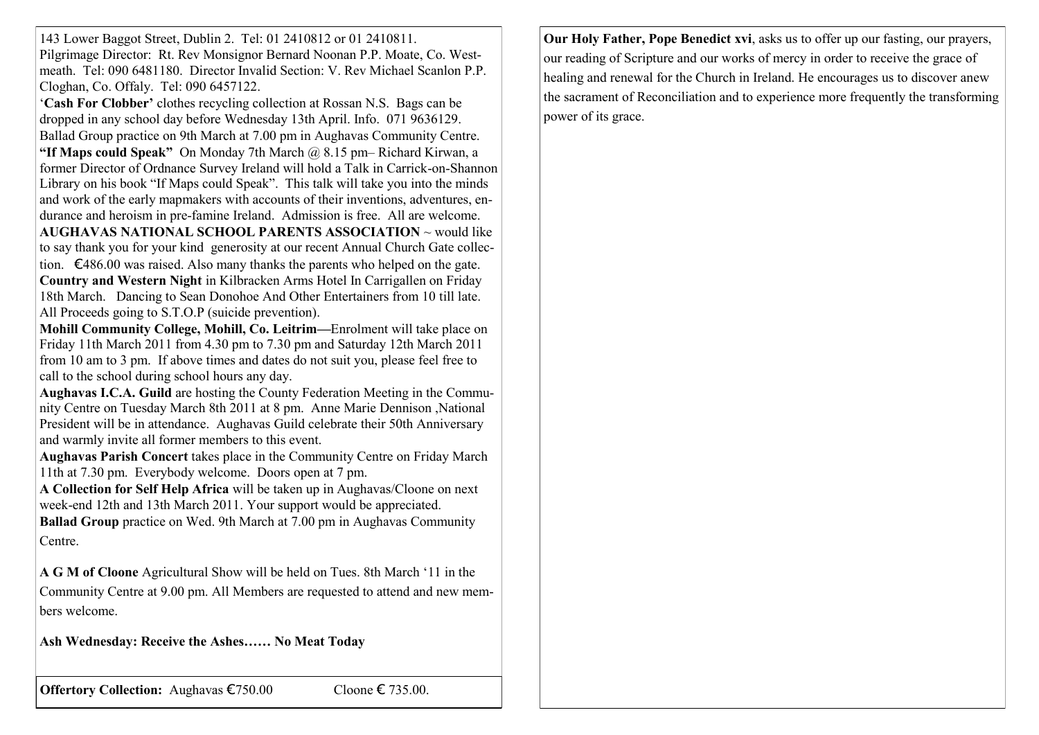143 Lower Baggot Street, Dublin 2. Tel: 01 2410812 or 01 2410811. Pilgrimage Director: Rt. Rev Monsignor Bernard Noonan P.P. Moate, Co. Westmeath. Tel: 090 6481180. Director Invalid Section: V. Rev Michael Scanlon P.P. Cloghan, Co. Offaly. Tel: 090 6457122.

‗**Cash For Clobber'** clothes recycling collection at Rossan N.S. Bags can be dropped in any school day before Wednesday 13th April. Info. 071 9636129. Ballad Group practice on 9th March at 7.00 pm in Aughavas Community Centre. **"If Maps could Speak"** On Monday 7th March @ 8.15 pm– Richard Kirwan, a former Director of Ordnance Survey Ireland will hold a Talk in Carrick-on-Shannon Library on his book "If Maps could Speak". This talk will take you into the minds and work of the early mapmakers with accounts of their inventions, adventures, endurance and heroism in pre-famine Ireland. Admission is free. All are welcome. **AUGHAVAS NATIONAL SCHOOL PARENTS ASSOCIATION** ~ would like to say thank you for your kind generosity at our recent Annual Church Gate collection. €486.00 was raised. Also many thanks the parents who helped on the gate. **Country and Western Night** in Kilbracken Arms Hotel In Carrigallen on Friday 18th March. Dancing to Sean Donohoe And Other Entertainers from 10 till late. All Proceeds going to S.T.O.P (suicide prevention).

**Mohill Community College, Mohill, Co. Leitrim—**Enrolment will take place on Friday 11th March 2011 from 4.30 pm to 7.30 pm and Saturday 12th March 2011 from 10 am to 3 pm. If above times and dates do not suit you, please feel free to call to the school during school hours any day.

**Aughavas I.C.A. Guild** are hosting the County Federation Meeting in the Community Centre on Tuesday March 8th 2011 at 8 pm. Anne Marie Dennison ,National President will be in attendance. Aughavas Guild celebrate their 50th Anniversary and warmly invite all former members to this event.

**Aughavas Parish Concert** takes place in the Community Centre on Friday March 11th at 7.30 pm. Everybody welcome. Doors open at 7 pm.

**A Collection for Self Help Africa** will be taken up in Aughavas/Cloone on next week-end 12th and 13th March 2011. Your support would be appreciated.

**Ballad Group practice on Wed. 9th March at 7.00 pm in Aughavas Community** Centre.

**A G M of Cloone** Agricultural Show will be held on Tues. 8th March ‗11 in the Community Centre at 9.00 pm. All Members are requested to attend and new members welcome.

**Ash Wednesday: Receive the Ashes…… No Meat Today**

**Offertory Collection:** Aughavas €750.00 Cloone € 735.00.

**Our Holy Father, Pope Benedict xvi**, asks us to offer up our fasting, our prayers, our reading of Scripture and our works of mercy in order to receive the grace of healing and renewal for the Church in Ireland. He encourages us to discover anew the sacrament of Reconciliation and to experience more frequently the transforming power of its grace.